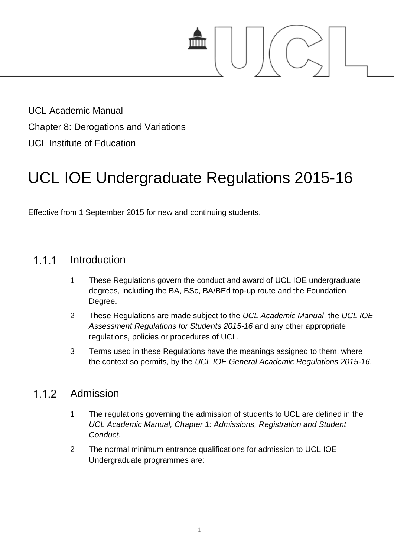

UCL Academic Manual Chapter 8: Derogations and Variations UCL Institute of Education

# UCL IOE Undergraduate Regulations 2015-16

Effective from 1 September 2015 for new and continuing students.

#### $1.1.1$ Introduction

- 1 These Regulations govern the conduct and award of UCL IOE undergraduate degrees, including the BA, BSc, BA/BEd top-up route and the Foundation Degree.
- 2 These Regulations are made subject to the *UCL Academic Manual*, the *UCL IOE Assessment Regulations for Students 2015-16* and any other appropriate regulations, policies or procedures of UCL.
- 3 Terms used in these Regulations have the meanings assigned to them, where the context so permits, by the *UCL IOE General Academic Regulations 2015-16*.

#### $1.1.2$ Admission

- 1 The regulations governing the admission of students to UCL are defined in the *UCL Academic Manual, Chapter 1: Admissions, Registration and Student Conduct*.
- 2 The normal minimum entrance qualifications for admission to UCL IOE Undergraduate programmes are: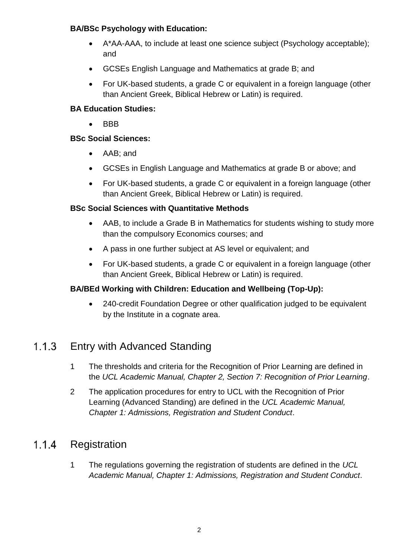## **BA/BSc Psychology with Education:**

- A\*AA-AAA, to include at least one science subject (Psychology acceptable); and
- GCSEs English Language and Mathematics at grade B; and
- For UK-based students, a grade C or equivalent in a foreign language (other than Ancient Greek, Biblical Hebrew or Latin) is required.

# **BA Education Studies:**

 $-BBB$ 

## **BSc Social Sciences:**

- AAB; and
- GCSEs in English Language and Mathematics at grade B or above; and
- For UK-based students, a grade C or equivalent in a foreign language (other than Ancient Greek, Biblical Hebrew or Latin) is required.

## **BSc Social Sciences with Quantitative Methods**

- AAB, to include a Grade B in Mathematics for students wishing to study more than the compulsory Economics courses; and
- A pass in one further subject at AS level or equivalent; and
- For UK-based students, a grade C or equivalent in a foreign language (other than Ancient Greek, Biblical Hebrew or Latin) is required.

### **BA/BEd Working with Children: Education and Wellbeing (Top-Up):**

 240-credit Foundation Degree or other qualification judged to be equivalent by the Institute in a cognate area.

#### $1.1.3$ Entry with Advanced Standing

- 1 The thresholds and criteria for the Recognition of Prior Learning are defined in the *UCL Academic Manual, Chapter 2, Section 7: Recognition of Prior Learning*.
- 2 The application procedures for entry to UCL with the Recognition of Prior Learning (Advanced Standing) are defined in the *UCL Academic Manual, Chapter 1: Admissions, Registration and Student Conduct*.

#### $1.1.4$ Registration

1 The regulations governing the registration of students are defined in the *UCL Academic Manual, Chapter 1: Admissions, Registration and Student Conduct*.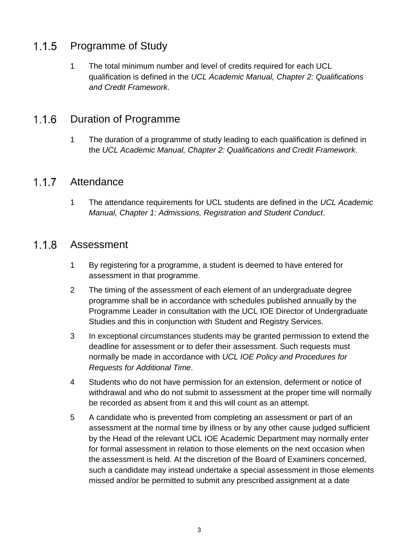#### $1.1.5$ Programme of Study

1 The total minimum number and level of credits required for each UCL qualification is defined in the *UCL Academic Manual, Chapter 2: Qualifications and Credit Framework*.

#### 116 Duration of Programme

1 The duration of a programme of study leading to each qualification is defined in the *UCL Academic Manual, Chapter 2: Qualifications and Credit Framework*.

#### $1.1.7$ **Attendance**

1 The attendance requirements for UCL students are defined in the *UCL Academic Manual, Chapter 1: Admissions, Registration and Student Conduct*.

#### $1.1.8$ Assessment

- 1 By registering for a programme, a student is deemed to have entered for assessment in that programme.
- 2 The timing of the assessment of each element of an undergraduate degree programme shall be in accordance with schedules published annually by the Programme Leader in consultation with the UCL IOE Director of Undergraduate Studies and this in conjunction with Student and Registry Services.
- 3 In exceptional circumstances students may be granted permission to extend the deadline for assessment or to defer their assessment. Such requests must normally be made in accordance with *UCL IOE Policy and Procedures for Requests for Additional Time*.
- 4 Students who do not have permission for an extension, deferment or notice of withdrawal and who do not submit to assessment at the proper time will normally be recorded as absent from it and this will count as an attempt.
- 5 A candidate who is prevented from completing an assessment or part of an assessment at the normal time by illness or by any other cause judged sufficient by the Head of the relevant UCL IOE Academic Department may normally enter for formal assessment in relation to those elements on the next occasion when the assessment is held. At the discretion of the Board of Examiners concerned, such a candidate may instead undertake a special assessment in those elements missed and/or be permitted to submit any prescribed assignment at a date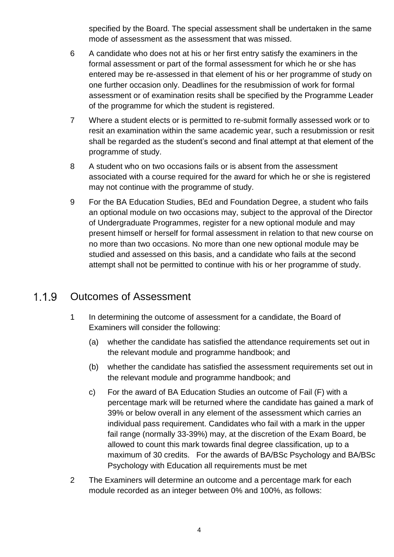specified by the Board. The special assessment shall be undertaken in the same mode of assessment as the assessment that was missed.

- 6 A candidate who does not at his or her first entry satisfy the examiners in the formal assessment or part of the formal assessment for which he or she has entered may be re-assessed in that element of his or her programme of study on one further occasion only. Deadlines for the resubmission of work for formal assessment or of examination resits shall be specified by the Programme Leader of the programme for which the student is registered.
- 7 Where a student elects or is permitted to re-submit formally assessed work or to resit an examination within the same academic year, such a resubmission or resit shall be regarded as the student's second and final attempt at that element of the programme of study.
- 8 A student who on two occasions fails or is absent from the assessment associated with a course required for the award for which he or she is registered may not continue with the programme of study.
- 9 For the BA Education Studies, BEd and Foundation Degree, a student who fails an optional module on two occasions may, subject to the approval of the Director of Undergraduate Programmes, register for a new optional module and may present himself or herself for formal assessment in relation to that new course on no more than two occasions. No more than one new optional module may be studied and assessed on this basis, and a candidate who fails at the second attempt shall not be permitted to continue with his or her programme of study.

#### $1.1.9$ Outcomes of Assessment

- 1 In determining the outcome of assessment for a candidate, the Board of Examiners will consider the following:
	- (a) whether the candidate has satisfied the attendance requirements set out in the relevant module and programme handbook; and
	- (b) whether the candidate has satisfied the assessment requirements set out in the relevant module and programme handbook; and
	- c) For the award of BA Education Studies an outcome of Fail (F) with a percentage mark will be returned where the candidate has gained a mark of 39% or below overall in any element of the assessment which carries an individual pass requirement. Candidates who fail with a mark in the upper fail range (normally 33-39%) may, at the discretion of the Exam Board, be allowed to count this mark towards final degree classification, up to a maximum of 30 credits. For the awards of BA/BSc Psychology and BA/BSc Psychology with Education all requirements must be met
- 2 The Examiners will determine an outcome and a percentage mark for each module recorded as an integer between 0% and 100%, as follows: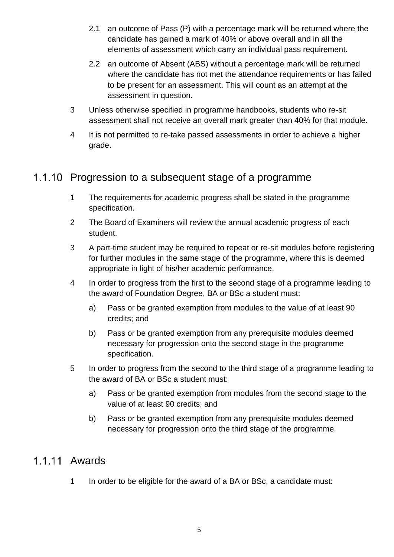- 2.1 an outcome of Pass (P) with a percentage mark will be returned where the candidate has gained a mark of 40% or above overall and in all the elements of assessment which carry an individual pass requirement.
- 2.2 an outcome of Absent (ABS) without a percentage mark will be returned where the candidate has not met the attendance requirements or has failed to be present for an assessment. This will count as an attempt at the assessment in question.
- 3 Unless otherwise specified in programme handbooks, students who re-sit assessment shall not receive an overall mark greater than 40% for that module.
- 4 It is not permitted to re-take passed assessments in order to achieve a higher grade.

# 1.1.10 Progression to a subsequent stage of a programme

- 1 The requirements for academic progress shall be stated in the programme specification.
- 2 The Board of Examiners will review the annual academic progress of each student.
- 3 A part-time student may be required to repeat or re-sit modules before registering for further modules in the same stage of the programme, where this is deemed appropriate in light of his/her academic performance.
- 4 In order to progress from the first to the second stage of a programme leading to the award of Foundation Degree, BA or BSc a student must:
	- a) Pass or be granted exemption from modules to the value of at least 90 credits; and
	- b) Pass or be granted exemption from any prerequisite modules deemed necessary for progression onto the second stage in the programme specification.
- 5 In order to progress from the second to the third stage of a programme leading to the award of BA or BSc a student must:
	- a) Pass or be granted exemption from modules from the second stage to the value of at least 90 credits; and
	- b) Pass or be granted exemption from any prerequisite modules deemed necessary for progression onto the third stage of the programme.

# 1 1 11 Awards

1 In order to be eligible for the award of a BA or BSc, a candidate must: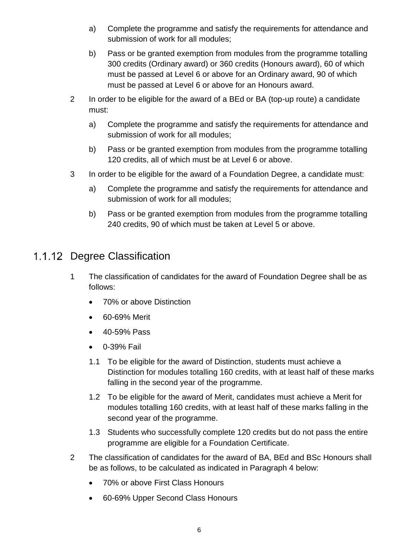- a) Complete the programme and satisfy the requirements for attendance and submission of work for all modules;
- b) Pass or be granted exemption from modules from the programme totalling 300 credits (Ordinary award) or 360 credits (Honours award), 60 of which must be passed at Level 6 or above for an Ordinary award, 90 of which must be passed at Level 6 or above for an Honours award.
- 2 In order to be eligible for the award of a BEd or BA (top-up route) a candidate must:
	- a) Complete the programme and satisfy the requirements for attendance and submission of work for all modules;
	- b) Pass or be granted exemption from modules from the programme totalling 120 credits, all of which must be at Level 6 or above.
- 3 In order to be eligible for the award of a Foundation Degree, a candidate must:
	- a) Complete the programme and satisfy the requirements for attendance and submission of work for all modules;
	- b) Pass or be granted exemption from modules from the programme totalling 240 credits, 90 of which must be taken at Level 5 or above.

# 1.1.12 Degree Classification

- 1 The classification of candidates for the award of Foundation Degree shall be as follows:
	- 70% or above Distinction
	- 60-69% Merit
	- 40-59% Pass
	- 0-39% Fail
	- 1.1 To be eligible for the award of Distinction, students must achieve a Distinction for modules totalling 160 credits, with at least half of these marks falling in the second year of the programme.
	- 1.2 To be eligible for the award of Merit, candidates must achieve a Merit for modules totalling 160 credits, with at least half of these marks falling in the second year of the programme.
	- 1.3 Students who successfully complete 120 credits but do not pass the entire programme are eligible for a Foundation Certificate.
- 2 The classification of candidates for the award of BA, BEd and BSc Honours shall be as follows, to be calculated as indicated in Paragraph 4 below:
	- 70% or above First Class Honours
	- 60-69% Upper Second Class Honours